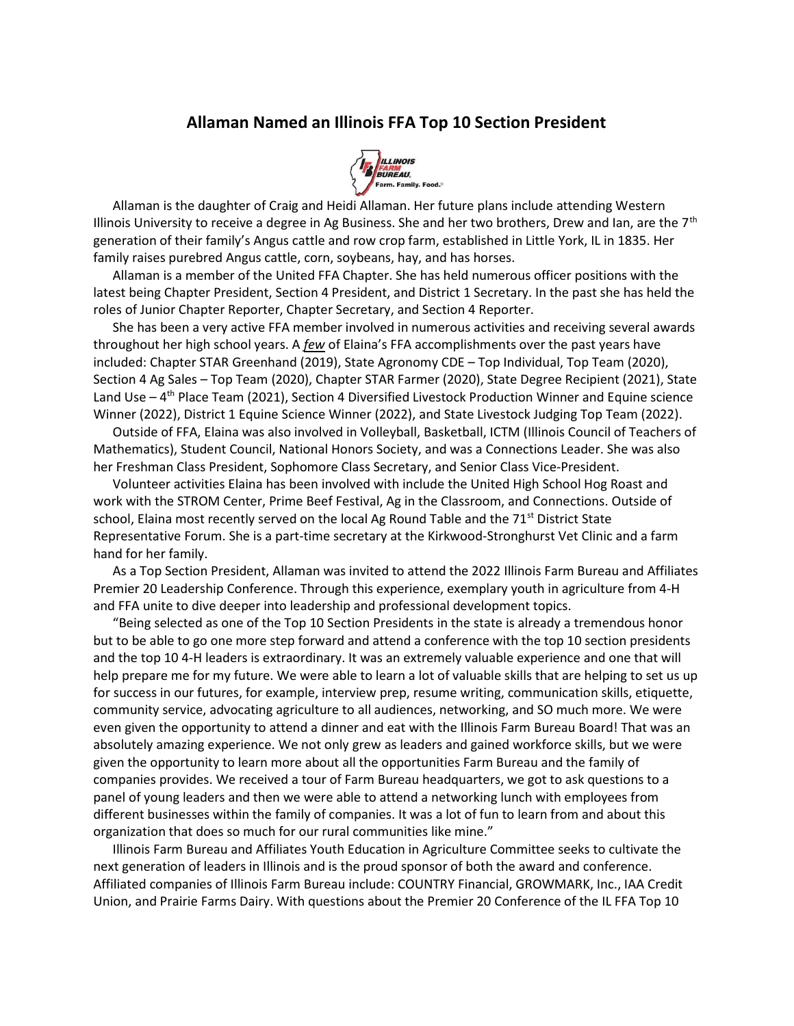## Allaman Named an Illinois FFA Top 10 Section President



 Allaman is the daughter of Craig and Heidi Allaman. Her future plans include attending Western Illinois University to receive a degree in Ag Business. She and her two brothers, Drew and Ian, are the  $7<sup>th</sup>$ generation of their family's Angus cattle and row crop farm, established in Little York, IL in 1835. Her family raises purebred Angus cattle, corn, soybeans, hay, and has horses.

 Allaman is a member of the United FFA Chapter. She has held numerous officer positions with the latest being Chapter President, Section 4 President, and District 1 Secretary. In the past she has held the roles of Junior Chapter Reporter, Chapter Secretary, and Section 4 Reporter.

 She has been a very active FFA member involved in numerous activities and receiving several awards throughout her high school years. A few of Elaina's FFA accomplishments over the past years have included: Chapter STAR Greenhand (2019), State Agronomy CDE – Top Individual, Top Team (2020), Section 4 Ag Sales – Top Team (2020), Chapter STAR Farmer (2020), State Degree Recipient (2021), State Land Use  $-4$ <sup>th</sup> Place Team (2021), Section 4 Diversified Livestock Production Winner and Equine science Winner (2022), District 1 Equine Science Winner (2022), and State Livestock Judging Top Team (2022).

 Outside of FFA, Elaina was also involved in Volleyball, Basketball, ICTM (Illinois Council of Teachers of Mathematics), Student Council, National Honors Society, and was a Connections Leader. She was also her Freshman Class President, Sophomore Class Secretary, and Senior Class Vice-President.

 Volunteer activities Elaina has been involved with include the United High School Hog Roast and work with the STROM Center, Prime Beef Festival, Ag in the Classroom, and Connections. Outside of school, Elaina most recently served on the local Ag Round Table and the  $71<sup>st</sup>$  District State Representative Forum. She is a part-time secretary at the Kirkwood-Stronghurst Vet Clinic and a farm hand for her family.

 As a Top Section President, Allaman was invited to attend the 2022 Illinois Farm Bureau and Affiliates Premier 20 Leadership Conference. Through this experience, exemplary youth in agriculture from 4-H and FFA unite to dive deeper into leadership and professional development topics.

 "Being selected as one of the Top 10 Section Presidents in the state is already a tremendous honor but to be able to go one more step forward and attend a conference with the top 10 section presidents and the top 10 4-H leaders is extraordinary. It was an extremely valuable experience and one that will help prepare me for my future. We were able to learn a lot of valuable skills that are helping to set us up for success in our futures, for example, interview prep, resume writing, communication skills, etiquette, community service, advocating agriculture to all audiences, networking, and SO much more. We were even given the opportunity to attend a dinner and eat with the Illinois Farm Bureau Board! That was an absolutely amazing experience. We not only grew as leaders and gained workforce skills, but we were given the opportunity to learn more about all the opportunities Farm Bureau and the family of companies provides. We received a tour of Farm Bureau headquarters, we got to ask questions to a panel of young leaders and then we were able to attend a networking lunch with employees from different businesses within the family of companies. It was a lot of fun to learn from and about this organization that does so much for our rural communities like mine."

 Illinois Farm Bureau and Affiliates Youth Education in Agriculture Committee seeks to cultivate the next generation of leaders in Illinois and is the proud sponsor of both the award and conference. Affiliated companies of Illinois Farm Bureau include: COUNTRY Financial, GROWMARK, Inc., IAA Credit Union, and Prairie Farms Dairy. With questions about the Premier 20 Conference of the IL FFA Top 10